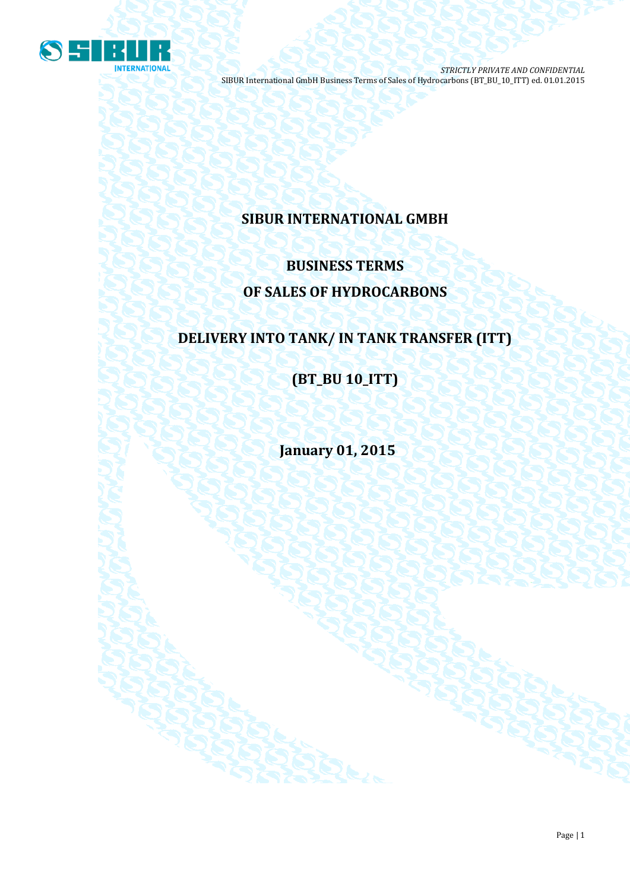

# **SIBUR INTERNATIONAL GMBH**

# **BUSINESS TERMS OF SALES OF HYDROCARBONS**

# **DELIVERY INTO TANK/ IN TANK TRANSFER (ITT)**

**(BT\_BU 10\_ITT)**

**January 01, 2015**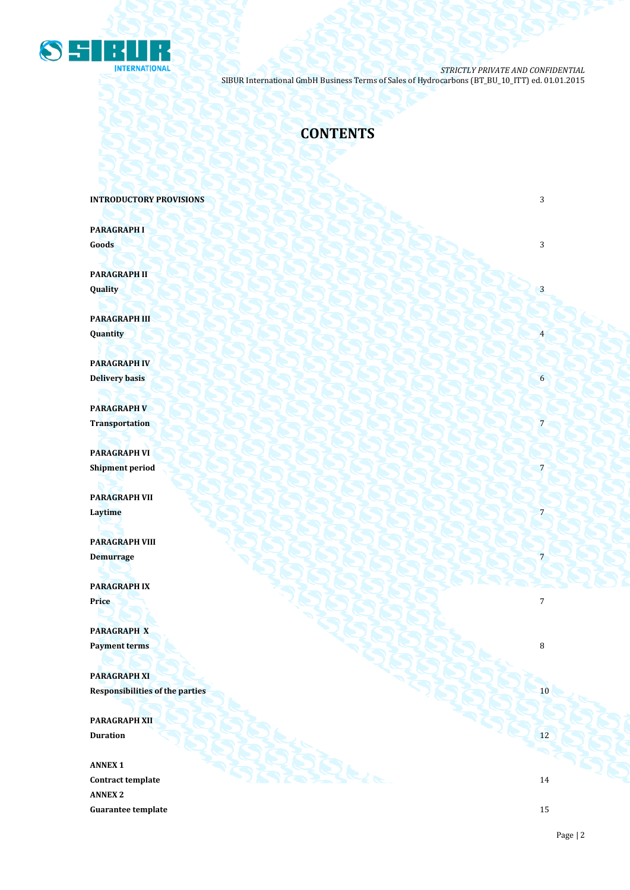

# **CONTENTS**

**INTRODUCTORY PROVISIONS 3** 

**PARAGRAPH I Goods** 3

**PARAGRAPH II**  $\mathbf{Quality}$   $\begin{pmatrix} 1 & 3 \end{pmatrix}$ 

**PARAGRAPH III Quantity** 4

**PARAGRAPH IV Delivery basis** 6

**PARAGRAPH V** Transportation **Produced a Produced A Produced** A Produced A Produced A Produced A Produced A Produced A Produced A Produced A Produced A Produced A Produced A Produced A Produced A Produced A Produced A Produced A Produce

**PARAGRAPH VI Shipment period** 7

**PARAGRAPH VII Laytime** 7 **2008 2008 2008 2008 2008 2008 2008 2008 2008 2008 2008 2008 2008 2008 2008 2008 2008 2008 2008 2008 2008 2008 2008 2008 2008 2008 2008 2008 2008 2008**

**PARAGRAPH VIII Demurrage** 7

**PARAGRAPH IX Price** 7

**PARAGRAPH X Payment terms** 8

**PARAGRAPH XI Responsibilities of the parties** 10

**PARAGRAPH XII Duration** 12

**ANNEX 1 Contract template** 14 **ANNEX 2 Guarantee template** 15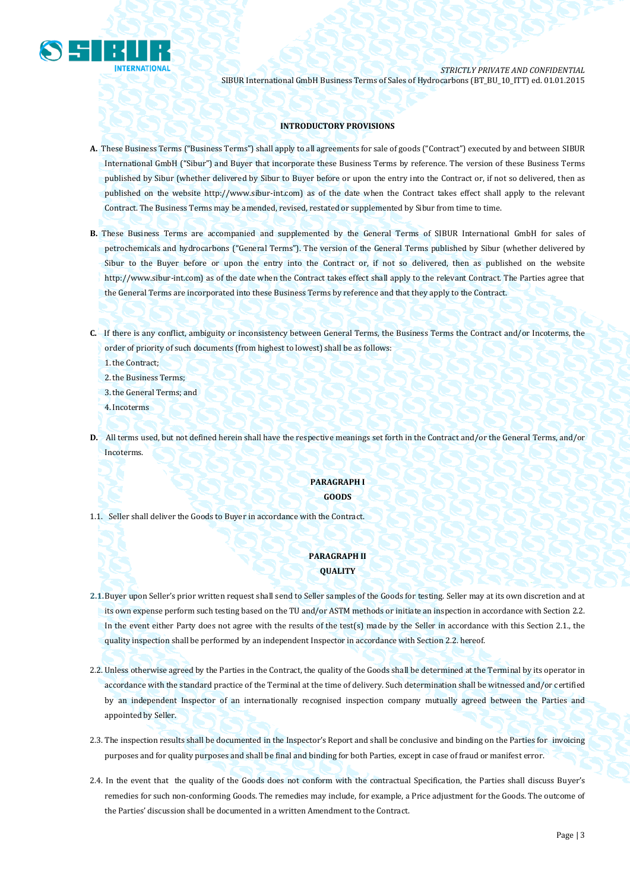

## **INTRODUCTORY PROVISIONS**

- **A.** These Business Terms ("Business Terms") shall apply to all agreements for sale of goods ("Contract") executed by and between SIBUR International GmbH ("Sibur") and Buyer that incorporate these Business Terms by reference. The version of these Business Terms published by Sibur (whether delivered by Sibur to Buyer before or upon the entry into the Contract or, if not so delivered, then as published on the website [http://www.sibur-int.com\)](http://www.sibur-int.com/) as of the date when the Contract takes effect shall apply to the relevant Contract. The Business Terms may be amended, revised, restated or supplemented by Sibur from time to time.
- **B.** These Business Terms are accompanied and supplemented by the General Terms of SIBUR International GmbH for sales of petrochemicals and hydrocarbons ("General Terms"). The version of the General Terms published by Sibur (whether delivered by Sibur to the Buyer before or upon the entry into the Contract or, if not so delivered, then as published on the website [http://www.sibur-int.com\)](http://www.sibur-int.com/) as of the date when the Contract takes effect shall apply to the relevant Contract. The Parties agree that the General Terms are incorporated into these Business Terms by reference and that they apply to the Contract.
- **C.** If there is any conflict, ambiguity or inconsistency between General Terms, the Business Terms the Contract and/or Incoterms, the order of priority of such documents (from highest to lowest) shall be as follows:

1.the Contract;

- 2.the Business Terms;
- 3.the General Terms; and
- 4.Incoterms
- **D.** All terms used, but not defined herein shall have the respective meanings set forth in the Contract and/or the General Terms, and/or Incoterms.

## **PARAGRAPH I GOODS**

1.1. Seller shall deliver the Goods to Buyer in accordance with the Contract.

# **PARAGRAPH II QUALITY**

- **2.1.**Buyer upon Seller's prior written request shall send to Seller samples of the Goods for testing. Seller may at its own discretion and at its own expense perform such testing based on the TU and/or ASTM methods or initiate an inspection in accordance with Section 2.2. In the event either Party does not agree with the results of the test(s) made by the Seller in accordance with this Section 2.1., the quality inspection shall be performed by an independent Inspector in accordance with Section 2.2. hereof.
- 2.2. Unless otherwise agreed by the Parties in the Contract, the quality of the Goods shall be determined at the Terminal by its operator in accordance with the standard practice of the Terminal at the time of delivery. Such determination shall be witnessed and/or certified by an independent Inspector of an internationally recognised inspection company mutually agreed between the Parties and appointed by Seller.
- 2.3. The inspection results shall be documented in the Inspector's Report and shall be conclusive and binding on the Parties for invoicing purposes and for quality purposes and shall be final and binding for both Parties, except in case of fraud or manifest error.
- 2.4. In the event that the quality of the Goods does not conform with the contractual Specification, the Parties shall discuss Buyer's remedies for such non-conforming Goods. The remedies may include, for example, a Price adjustment for the Goods. The outcome of the Parties' discussion shall be documented in a written Amendment to the Contract.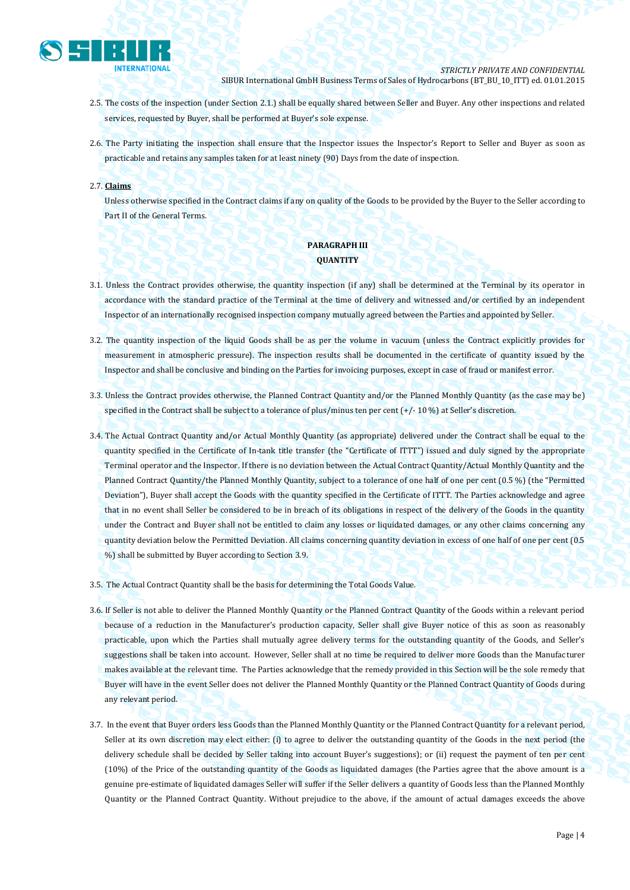

- 2.5. The costs of the inspection (under Section 2.1.) shall be equally shared between Seller and Buyer. Any other inspections and related services, requested by Buyer, shall be performed at Buyer's sole expense.
- 2.6. The Party initiating the inspection shall ensure that the Inspector issues the Inspector's Report to Seller and Buyer as soon as practicable and retains any samples taken for at least ninety (90) Days from the date of inspection.
- 2.7. **Claims**

Unless otherwise specified in the Contract claims if any on quality of the Goods to be provided by the Buyer to the Seller according to Part II of the General Terms.

# **PARAGRAPH III QUANTITY**

- 3.1. Unless the Contract provides otherwise, the quantity inspection (if any) shall be determined at the Terminal by its operator in accordance with the standard practice of the Terminal at the time of delivery and witnessed and/or certified by an independent Inspector of an internationally recognised inspection company mutually agreed between the Parties and appointed by Seller.
- 3.2. The quantity inspection of the liquid Goods shall be as per the volume in vacuum (unless the Contract explicitly provides for measurement in atmospheric pressure). The inspection results shall be documented in the certificate of quantity issued by the Inspector and shall be conclusive and binding on the Parties for invoicing purposes, except in case of fraud or manifest error.
- 3.3. Unless the Contract provides otherwise, the Planned Contract Quantity and/or the Planned Monthly Quantity (as the case may be) specified in the Contract shall be subject to a tolerance of plus/minus ten per cent (+/- 10 %) at Seller's discretion.
- 3.4. The Actual Contract Quantity and/or Actual Monthly Quantity (as appropriate) delivered under the Contract shall be equal to the quantity specified in the Certificate of In-tank title transfer (the "Certificate of ITTT") issued and duly signed by the appropriate Terminal operator and the Inspector. If there is no deviation between the Actual Contract Quantity/Actual Monthly Quantity and the Planned Contract Quantity/the Planned Monthly Quantity, subject to a tolerance of one half of one per cent (0.5 %) (the "Permitted Deviation"), Buyer shall accept the Goods with the quantity specified in the Certificate of ITTT. The Parties acknowledge and agree that in no event shall Seller be considered to be in breach of its obligations in respect of the delivery of the Goods in the quantity under the Contract and Buyer shall not be entitled to claim any losses or liquidated damages, or any other claims concerning any quantity deviation below the Permitted Deviation. All claims concerning quantity deviation in excess of one half of one per cent (0.5 %) shall be submitted by Buyer according to Section 3.9.
- 3.5. The Actual Contract Quantity shall be the basis for determining the Total Goods Value.
- 3.6. If Seller is not able to deliver the Planned Monthly Quantity or the Planned Contract Quantity of the Goods within a relevant period because of a reduction in the Manufacturer's production capacity, Seller shall give Buyer notice of this as soon as reasonably practicable, upon which the Parties shall mutually agree delivery terms for the outstanding quantity of the Goods, and Seller's suggestions shall be taken into account. However, Seller shall at no time be required to deliver more Goods than the Manufacturer makes available at the relevant time. The Parties acknowledge that the remedy provided in this Section will be the sole remedy that Buyer will have in the event Seller does not deliver the Planned Monthly Quantity or the Planned Contract Quantity of Goods during any relevant period.
- 3.7. In the event that Buyer orders less Goods than the Planned Monthly Quantity or the Planned Contract Quantity for a relevant period, Seller at its own discretion may elect either: (i) to agree to deliver the outstanding quantity of the Goods in the next period (the delivery schedule shall be decided by Seller taking into account Buyer's suggestions); or (ii) request the payment of ten per cent (10%) of the Price of the outstanding quantity of the Goods as liquidated damages (the Parties agree that the above amount is a genuine pre-estimate of liquidated damages Seller will suffer if the Seller delivers a quantity of Goods less than the Planned Monthly Quantity or the Planned Contract Quantity. Without prejudice to the above, if the amount of actual damages exceeds the above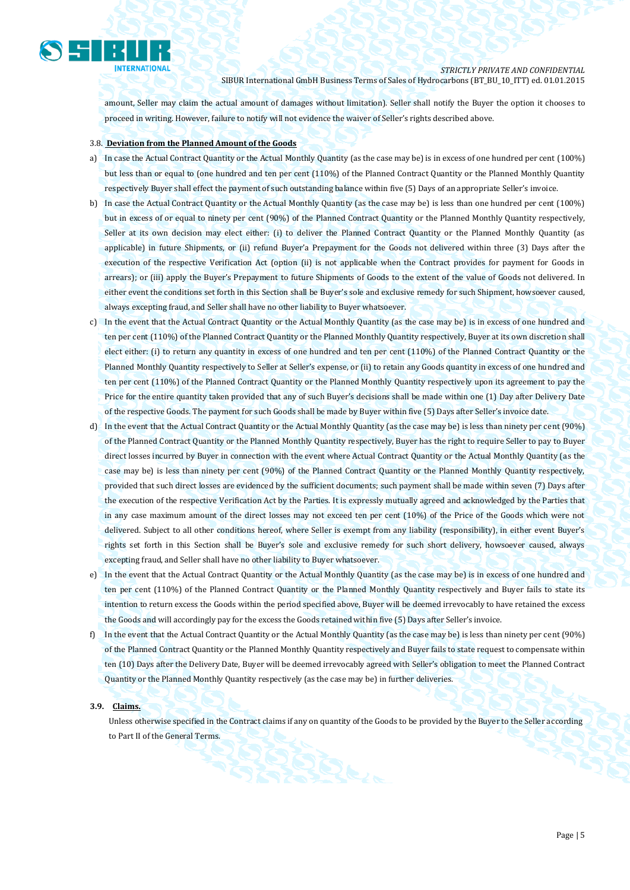

amount, Seller may claim the actual amount of damages without limitation). Seller shall notify the Buyer the option it chooses to proceed in writing. However, failure to notify will not evidence the waiver of Seller's rights described above.

#### 3.8. **Deviation from the Planned Amount of the Goods**

- a) In case the Actual Contract Quantity or the Actual Monthly Quantity (as the case may be) is in excess of one hundred per cent (100%) but less than or equal to (one hundred and ten per cent (110%) of the Planned Contract Quantity or the Planned Monthly Quantity respectively Buyer shall effect the payment of such outstanding balance within five (5) Days of an appropriate Seller's invoice.
- b) In case the Actual Contract Quantity or the Actual Monthly Quantity (as the case may be) is less than one hundred per cent (100%) but in excess of or equal to ninety per cent (90%) of the Planned Contract Quantity or the Planned Monthly Quantity respectively, Seller at its own decision may elect either: (i) to deliver the Planned Contract Quantity or the Planned Monthly Quantity (as applicable) in future Shipments, or (ii) refund Buyer'a Prepayment for the Goods not delivered within three (3) Days after the execution of the respective Verification Act (option (ii) is not applicable when the Contract provides for payment for Goods in arrears); or (iii) apply the Buyer's Prepayment to future Shipments of Goods to the extent of the value of Goods not delivered. In either event the conditions set forth in this Section shall be Buyer's sole and exclusive remedy for such Shipment, howsoever caused, always excepting fraud, and Seller shall have no other liability to Buyer whatsoever.
- c) In the event that the Actual Contract Quantity or the Actual Monthly Quantity (as the case may be) is in excess of one hundred and ten per cent (110%) of the Planned Contract Quantity or the Planned Monthly Quantity respectively, Buyer at its own discretion shall elect either: (i) to return any quantity in excess of one hundred and ten per cent (110%) of the Planned Contract Quantity or the Planned Monthly Quantity respectively to Seller at Seller's expense, or (ii) to retain any Goods quantity in excess of one hundred and ten per cent (110%) of the Planned Contract Quantity or the Planned Monthly Quantity respectively upon its agreement to pay the Price for the entire quantity taken provided that any of such Buyer's decisions shall be made within one (1) Day after Delivery Date of the respective Goods. The payment for such Goods shall be made by Buyer within five (5) Days after Seller's invoice date.
- d) In the event that the Actual Contract Quantity or the Actual Monthly Quantity (as the case may be) is less than ninety per cent (90%) of the Planned Contract Quantity or the Planned Monthly Quantity respectively, Buyer has the right to require Seller to pay to Buyer direct losses incurred by Buyer in connection with the event where Actual Contract Quantity or the Actual Monthly Quantity (as the case may be) is less than ninety per cent (90%) of the Planned Contract Quantity or the Planned Monthly Quantity respectively, provided that such direct losses are evidenced by the sufficient documents; such payment shall be made within seven (7) Days after the execution of the respective Verification Act by the Parties. It is expressly mutually agreed and acknowledged by the Parties that in any case maximum amount of the direct losses may not exceed ten per cent (10%) of the Price of the Goods which were not delivered. Subject to all other conditions hereof, where Seller is exempt from any liability (responsibility), in either event Buyer's rights set forth in this Section shall be Buyer's sole and exclusive remedy for such short delivery, howsoever caused, always excepting fraud, and Seller shall have no other liability to Buyer whatsoever.
- e) In the event that the Actual Contract Quantity or the Actual Monthly Quantity (as the case may be) is in excess of one hundred and ten per cent (110%) of the Planned Contract Quantity or the Planned Monthly Quantity respectively and Buyer fails to state its intention to return excess the Goods within the period specified above, Buyer will be deemed irrevocably to have retained the excess the Goods and will accordingly pay for the excess the Goods retained within five (5) Days after Seller's invoice.
- f) In the event that the Actual Contract Quantity or the Actual Monthly Quantity (as the case may be) is less than ninety per cent (90%) of the Planned Contract Quantity or the Planned Monthly Quantity respectively and Buyer fails to state request to compensate within ten (10) Days after the Delivery Date, Buyer will be deemed irrevocably agreed with Seller's obligation to meet the Planned Contract Quantity or the Planned Monthly Quantity respectively (as the case may be) in further deliveries.

### **3.9. Claims.**

Unless otherwise specified in the Contract claims if any on quantity of the Goods to be provided by the Buyer to the Seller according to Part II of the General Terms.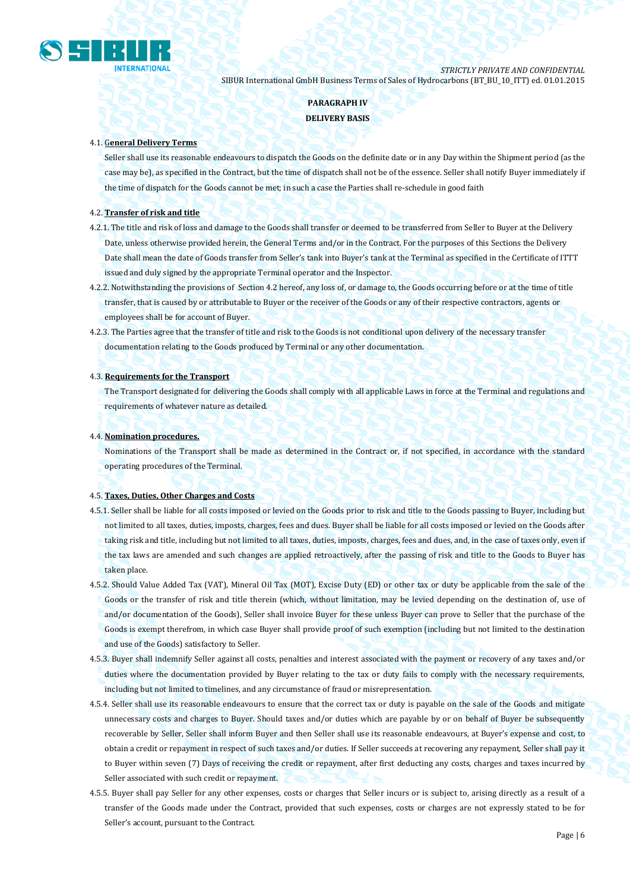

# **PARAGRAPH IV DELIVERY BASIS**

#### 4.1. G**eneral Delivery Terms**

Seller shall use its reasonable endeavours to dispatch the Goods on the definite date or in any Day within the Shipment period (as the case may be), as specified in the Contract, but the time of dispatch shall not be of the essence. Seller shall notify Buyer immediately if the time of dispatch for the Goods cannot be met; in such a case the Parties shall re-schedule in good faith

## 4.2. **Transfer of risk and title**

- 4.2.1. The title and risk of loss and damage to the Goods shall transfer or deemed to be transferred from Seller to Buyer at the Delivery Date, unless otherwise provided herein, the General Terms and/or in the Contract. For the purposes of this Sections the Delivery Date shall mean the date of Goods transfer from Seller's tank into Buyer's tank at the Terminal as specified in the Certificate of ITTT issued and duly signed by the appropriate Terminal operator and the Inspector.
- 4.2.2. Notwithstanding the provisions of Section 4.2 hereof, any loss of, or damage to, the Goods occurring before or at the time of title transfer, that is caused by or attributable to Buyer or the receiver of the Goods or any of their respective contractors, agents or employees shall be for account of Buyer.
- 4.2.3. The Parties agree that the transfer of title and risk to the Goods is not conditional upon delivery of the necessary transfer documentation relating to the Goods produced by Terminal or any other documentation.

#### 4.3. **Requirements for the Transport**

The Transport designated for delivering the Goods shall comply with all applicable Laws in force at the Terminal and regulations and requirements of whatever nature as detailed.

#### 4.4. **Nomination procedures.**

Nominations of the Transport shall be made as determined in the Contract or, if not specified, in accordance with the standard operating procedures of the Terminal.

#### 4.5. **Taxes, Duties, Other Charges and Costs**

- 4.5.1. Seller shall be liable for all costs imposed or levied on the Goods prior to risk and title to the Goods passing to Buyer, including but not limited to all taxes, duties, imposts, charges, fees and dues. Buyer shall be liable for all costs imposed or levied on the Goods after taking risk and title, including but not limited to all taxes, duties, imposts, charges, fees and dues, and, in the case of taxes only, even if the tax laws are amended and such changes are applied retroactively, after the passing of risk and title to the Goods to Buyer has taken place.
- 4.5.2. Should Value Added Tax (VAT), Mineral Oil Tax (MOT), Excise Duty (ED) or other tax or duty be applicable from the sale of the Goods or the transfer of risk and title therein (which, without limitation, may be levied depending on the destination of, use of and/or documentation of the Goods), Seller shall invoice Buyer for these unless Buyer can prove to Seller that the purchase of the Goods is exempt therefrom, in which case Buyer shall provide proof of such exemption (including but not limited to the destination and use of the Goods) satisfactory to Seller.
- 4.5.3. Buyer shall indemnify Seller against all costs, penalties and interest associated with the payment or recovery of any taxes and/or duties where the documentation provided by Buyer relating to the tax or duty fails to comply with the necessary requirements, including but not limited to timelines, and any circumstance of fraud or misrepresentation.
- 4.5.4. Seller shall use its reasonable endeavours to ensure that the correct tax or duty is payable on the sale of the Goods and mitigate unnecessary costs and charges to Buyer. Should taxes and/or duties which are payable by or on behalf of Buyer be subsequently recoverable by Seller, Seller shall inform Buyer and then Seller shall use its reasonable endeavours, at Buyer's expense and cost, to obtain a credit or repayment in respect of such taxes and/or duties. If Seller succeeds at recovering any repayment, Seller shall pay it to Buyer within seven (7) Days of receiving the credit or repayment, after first deducting any costs, charges and taxes incurred by Seller associated with such credit or repayment.
- 4.5.5. Buyer shall pay Seller for any other expenses, costs or charges that Seller incurs or is subject to, arising directly as a result of a transfer of the Goods made under the Contract, provided that such expenses, costs or charges are not expressly stated to be for Seller's account, pursuant to the Contract.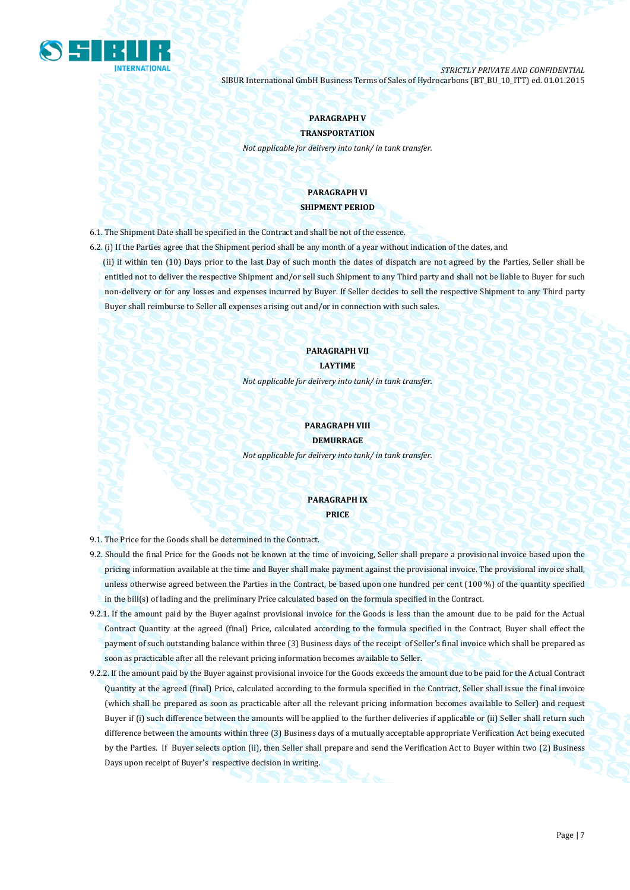

# **PARAGRAPH V**

**TRANSPORTATION** *Not applicable for delivery into tank/ in tank transfer.*

# **PARAGRAPH VI SHIPMENT PERIOD**

6.1. The Shipment Date shall be specified in the Contract and shall be not of the essence.

- 6.2. (i) If the Parties agree that the Shipment period shall be any month of a year without indication of the dates, and (ii) if within ten (10) Days prior to the last Day of such month the dates of dispatch are not agreed by the Parties, Seller shall be entitled not to deliver the respective Shipment and/or sell such Shipment to any Third party and shall not be liable to Buyer for such
	- non-delivery or for any losses and expenses incurred by Buyer. If Seller decides to sell the respective Shipment to any Third party Buyer shall reimburse to Seller all expenses arising out and/or in connection with such sales.

## **PARAGRAPH VII LAYTIME**

*Not applicable for delivery into tank/ in tank transfer.*

# **PARAGRAPH VIII DEMURRAGE**

*Not applicable for delivery into tank/ in tank transfer.*

# **PARAGRAPH IX PRICE**

9.1. The Price for the Goods shall be determined in the Contract.

- 9.2. Should the final Price for the Goods not be known at the time of invoicing, Seller shall prepare a provisional invoice based upon the pricing information available at the time and Buyer shall make payment against the provisional invoice. The provisional invoice shall, unless otherwise agreed between the Parties in the Contract, be based upon one hundred per cent (100 %) of the quantity specified in the bill(s) of lading and the preliminary Price calculated based on the formula specified in the Contract.
- 9.2.1. If the amount paid by the Buyer against provisional invoice for the Goods is less than the amount due to be paid for the Actual Contract Quantity at the agreed (final) Price, calculated according to the formula specified in the Contract, Buyer shall effect the payment of such outstanding balance within three (3) Business days of the receipt of Seller's final invoice which shall be prepared as soon as practicable after all the relevant pricing information becomes available to Seller.
- 9.2.2. If the amount paid by the Buyer against provisional invoice for the Goods exceeds the amount due to be paid for the Actual Contract Quantity at the agreed (final) Price, calculated according to the formula specified in the Contract, Seller shall issue the final invoice (which shall be prepared as soon as practicable after all the relevant pricing information becomes available to Seller) and request Buyer if (i) such difference between the amounts will be applied to the further deliveries if applicable or (ii) Seller shall return such difference between the amounts within three (3) Business days of a mutually acceptable appropriate Verification Act being executed by the Parties. If Buyer selects option (ii), then Seller shall prepare and send the Verification Act to Buyer within two (2) Business Days upon receipt of Buyer's respective decision in writing.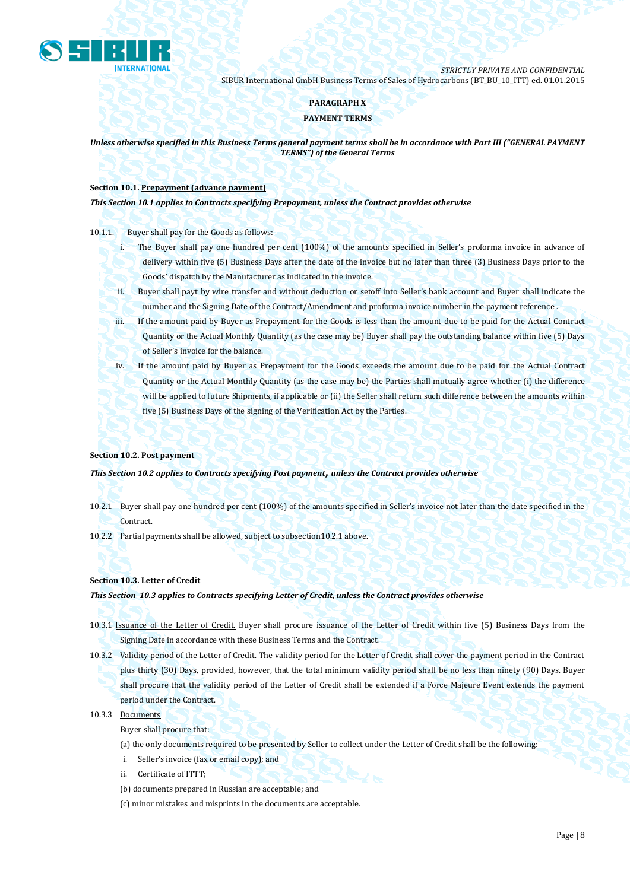

## **PARAGRAPH X**

## **PAYMENT TERMS**

*Unless otherwise specified in this Business Terms general payment terms shall be in accordance with Part III ("GENERAL PAYMENT TERMS") of the General Terms*

## **Section 10.1. Prepayment (advance payment)**

*This Section 10.1 applies to Contracts specifying Prepayment, unless the Contract provides otherwise*

### 10.1.1. Buyer shall pay for the Goods as follows:

- i. The Buyer shall pay one hundred per cent (100%) of the amounts specified in Seller's proforma invoice in advance of delivery within five (5) Business Days after the date of the invoice but no later than three (3) Business Days prior to the Goods' dispatch by the Manufacturer as indicated in the invoice.
- ii. Buyer shall payt by wire transfer and without deduction or setoff into Seller's bank account and Buyer shall indicate the number and the Signing Date of the Contract/Amendment and proforma invoice number in the payment reference .
- iii. If the amount paid by Buyer as Prepayment for the Goods is less than the amount due to be paid for the Actual Contract Quantity or the Actual Monthly Quantity (as the case may be) Buyer shall pay the outstanding balance within five (5) Days of Seller's invoice for the balance.
- iv. If the amount paid by Buyer as Prepayment for the Goods exceeds the amount due to be paid for the Actual Contract Quantity or the Actual Monthly Quantity (as the case may be) the Parties shall mutually agree whether (i) the difference will be applied to future Shipments, if applicable or (ii) the Seller shall return such difference between the amounts within five (5) Business Days of the signing of the Verification Act by the Parties.

### **Section 10.2. Post payment**

*This Section 10.2 applies to Contracts specifying Post payment***,** *unless the Contract provides otherwise*

- 10.2.1 Buyer shall pay one hundred per cent (100%) of the amounts specified in Seller's invoice not later than the date specified in the Contract.
- 10.2.2 Partial payments shall be allowed, subject to subsection10.2.1 above.

### **Section 10.3. Letter of Credit**

### *This Section 10.3 applies to Contracts specifying Letter of Credit, unless the Contract provides otherwise*

- 10.3.1 Issuance of the Letter of Credit. Buyer shall procure issuance of the Letter of Credit within five (5) Business Days from the Signing Date in accordance with these Business Terms and the Contract.
- 10.3.2 Validity period of the Letter of Credit. The validity period for the Letter of Credit shall cover the payment period in the Contract plus thirty (30) Days, provided, however, that the total minimum validity period shall be no less than ninety (90) Days. Buyer shall procure that the validity period of the Letter of Credit shall be extended if a Force Majeure Event extends the payment period under the Contract.

### 10.3.3 Documents

Buyer shall procure that:

(a) the only documents required to be presented by Seller to collect under the Letter of Credit shall be the following:

- i. Seller's invoice (fax or email copy); and
- Certificate of ITTT:
- (b) documents prepared in Russian are acceptable; and
- (c) minor mistakes and misprints in the documents are acceptable.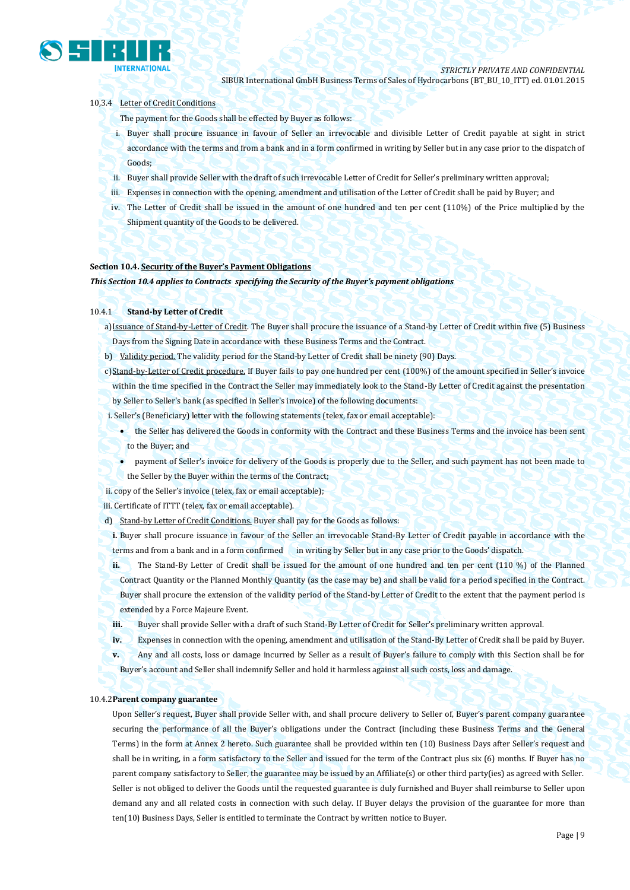

#### 10,3.4 Letter of Credit Conditions

The payment for the Goods shall be effected by Buyer as follows:

- i. Buyer shall procure issuance in favour of Seller an irrevocable and divisible Letter of Credit payable at sight in strict accordance with the terms and from a bank and in a form confirmed in writing by Seller but in any case prior to the dispatch of Goods;
- ii. Buyer shall provide Seller with the draft of such irrevocable Letter of Credit for Seller's preliminary written approval;
- iii. Expenses in connection with the opening, amendment and utilisation of the Letter of Credit shall be paid by Buyer; and
- iv. The Letter of Credit shall be issued in the amount of one hundred and ten per cent (110%) of the Price multiplied by the Shipment quantity of the Goods to be delivered.

#### **Section 10.4. Security of the Buyer's Payment Obligations**

*This Section 10.4 applies to Contracts specifying the Security of the Buyer's payment obligations*

#### 10.4.1 **Stand-by Letter of Credit**

a)Issuance of Stand-by-Letter of Credit. The Buyer shall procure the issuance of a Stand-by Letter of Credit within five (5) Business Days from the Signing Date in accordance with these Business Terms and the Contract.

- b) Validity period. The validity period for the Stand-by Letter of Credit shall be ninety (90) Days.
- c)Stand-by-Letter of Credit procedure. If Buyer fails to pay one hundred per cent (100%) of the amount specified in Seller's invoice within the time specified in the Contract the Seller may immediately look to the Stand-By Letter of Credit against the presentation by Seller to Seller's bank (as specified in Seller's invoice) of the following documents:
- i. Seller's (Beneficiary) letter with the following statements (telex, fax or email acceptable):
	- the Seller has delivered the Goods in conformity with the Contract and these Business Terms and the invoice has been sent to the Buyer; and
		- payment of Seller's invoice for delivery of the Goods is properly due to the Seller, and such payment has not been made to the Seller by the Buyer within the terms of the Contract;

ii. copy of the Seller's invoice (telex, fax or email acceptable);

iii. Certificate of ITTT (telex, fax or email acceptable).

d) Stand-by Letter of Credit Conditions. Buyer shall pay for the Goods as follows:

**i.** Buyer shall procure issuance in favour of the Seller an irrevocable Stand-By Letter of Credit payable in accordance with the terms and from a bank and in a form confirmed in writing by Seller but in any case prior to the Goods' dispatch.

**ii.** The Stand-By Letter of Credit shall be issued for the amount of one hundred and ten per cent (110 %) of the Planned Contract Quantity or the Planned Monthly Quantity (as the case may be) and shall be valid for a period specified in the Contract. Buyer shall procure the extension of the validity period of the Stand-by Letter of Credit to the extent that the payment period is extended by a Force Majeure Event.

**iii.** Buyer shall provide Seller with a draft of such Stand-By Letter of Credit for Seller's preliminary written approval.

**iv.** Expenses in connection with the opening, amendment and utilisation of the Stand-By Letter of Credit shall be paid by Buyer.

**v.** Any and all costs, loss or damage incurred by Seller as a result of Buyer's failure to comply with this Section shall be for Buyer's account and Seller shall indemnify Seller and hold it harmless against all such costs, loss and damage.

#### 10.4.2**Parent company guarantee**

Upon Seller's request, Buyer shall provide Seller with, and shall procure delivery to Seller of, Buyer's parent company guarantee securing the performance of all the Buyer's obligations under the Contract (including these Business Terms and the General Terms) in the form at Annex 2 hereto. Such guarantee shall be provided within ten (10) Business Days after Seller's request and shall be in writing, in a form satisfactory to the Seller and issued for the term of the Contract plus six (6) months. If Buyer has no parent company satisfactory to Seller, the guarantee may be issued by an Affiliate(s) or other third party(ies) as agreed with Seller. Seller is not obliged to deliver the Goods until the requested guarantee is duly furnished and Buyer shall reimburse to Seller upon demand any and all related costs in connection with such delay. If Buyer delays the provision of the guarantee for more than ten(10) Business Days, Seller is entitled to terminate the Contract by written notice to Buyer.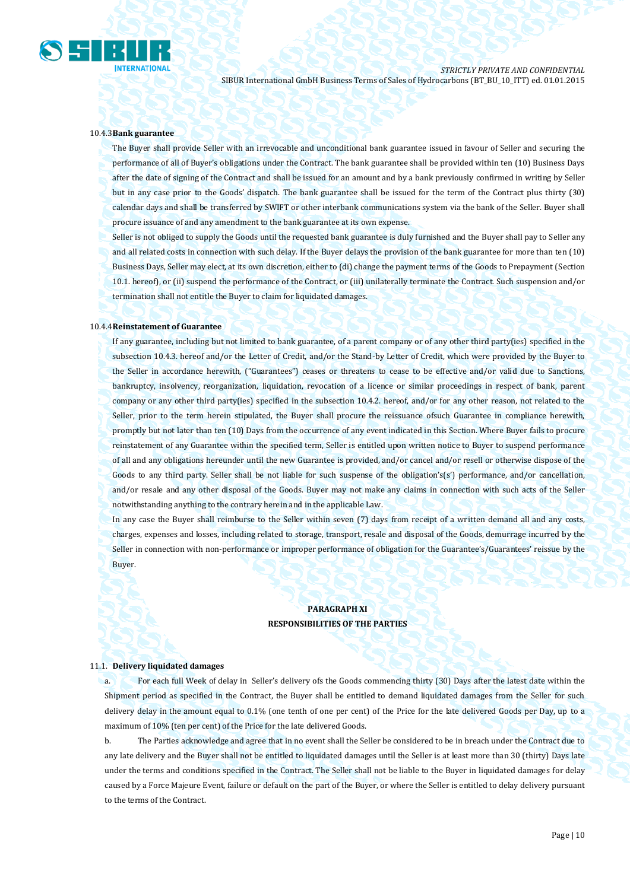

#### 10.4.3**Bank guarantee**

The Buyer shall provide Seller with an irrevocable and unconditional bank guarantee issued in favour of Seller and securing the performance of all of Buyer's obligations under the Contract. The bank guarantee shall be provided within ten (10) Business Days after the date of signing of the Contract and shall be issued for an amount and by a bank previously confirmed in writing by Seller but in any case prior to the Goods' dispatch. The bank guarantee shall be issued for the term of the Contract plus thirty (30) calendar days and shall be transferred by SWIFT or other interbank communications system via the bank of the Seller. Buyer shall procure issuance of and any amendment to the bank guarantee at its own expense.

Seller is not obliged to supply the Goods until the requested bank guarantee is duly furnished and the Buyer shall pay to Seller any and all related costs in connection with such delay. If the Buyer delays the provision of the bank guarantee for more than ten (10) Business Days, Seller may elect, at its own discretion, either to (di) change the payment terms of the Goods to Prepayment (Section 10.1. hereof), or (ii) suspend the performance of the Contract, or (iii) unilaterally terminate the Contract. Such suspension and/or termination shall not entitle the Buyer to claim for liquidated damages.

#### 10.4.4**Reinstatement of Guarantee**

If any guarantee, including but not limited to bank guarantee, of a parent company or of any other third party(ies) specified in the subsection 10.4.3. hereof and/or the Letter of Credit, and/or the Stand-by Letter of Credit, which were provided by the Buyer to the Seller in accordance herewith, ("Guarantees") ceases or threatens to cease to be effective and/or valid due to Sanctions, bankruptcy, insolvency, reorganization, liquidation, revocation of a licence or similar proceedings in respect of bank, parent company or any other third party(ies) specified in the subsection 10.4.2. hereof, and/or for any other reason, not related to the Seller, prior to the term herein stipulated, the Buyer shall procure the reissuance ofsuch Guarantee in compliance herewith, promptly but not later than ten (10) Days from the occurrence of any event indicated in this Section. Where Buyer fails to procure reinstatement of any Guarantee within the specified term, Seller is entitled upon written notice to Buyer to suspend performance of all and any obligations hereunder until the new Guarantee is provided, and/or cancel and/or resell or otherwise dispose of the Goods to any third party. Seller shall be not liable for such suspense of the obligation's(s') performance, and/or cancellation, and/or resale and any other disposal of the Goods. Buyer may not make any claims in connection with such acts of the Seller notwithstanding anything to the contrary herein and in the applicable Law.

In any case the Buyer shall reimburse to the Seller within seven (7) days from receipt of a written demand all and any costs, charges, expenses and losses, including related to storage, transport, resale and disposal of the Goods, demurrage incurred by the Seller in connection with non-performance or improper performance of obligation for the Guarantee's/Guarantees' reissue by the Buyer.

# **PARAGRAPH XI RESPONSIBILITIES OF THE PARTIES**

#### 11.1. **Delivery liquidated damages**

a. For each full Week of delay in Seller's delivery ofs the Goods commencing thirty (30) Days after the latest date within the Shipment period as specified in the Contract, the Buyer shall be entitled to demand liquidated damages from the Seller for such delivery delay in the amount equal to 0.1% (one tenth of one per cent) of the Price for the late delivered Goods per Day, up to a maximum of 10% (ten per cent) of the Price for the late delivered Goods.

b. The Parties acknowledge and agree that in no event shall the Seller be considered to be in breach under the Contract due to any late delivery and the Buyer shall not be entitled to liquidated damages until the Seller is at least more than 30 (thirty) Days late under the terms and conditions specified in the Contract. The Seller shall not be liable to the Buyer in liquidated damages for delay caused by a Force Majeure Event, failure or default on the part of the Buyer, or where the Seller is entitled to delay delivery pursuant to the terms of the Contract.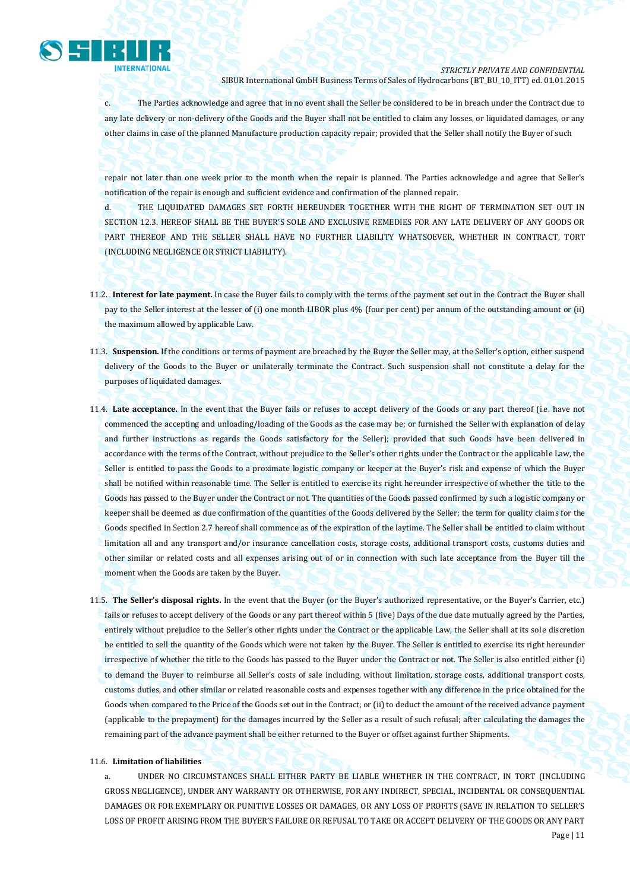

c. The Parties acknowledge and agree that in no event shall the Seller be considered to be in breach under the Contract due to any late delivery or non-delivery of the Goods and the Buyer shall not be entitled to claim any losses, or liquidated damages, or any other claims in case of the planned Manufacture production capacity repair; provided that the Seller shall notify the Buyer of such

repair not later than one week prior to the month when the repair is planned. The Parties acknowledge and agree that Seller's notification of the repair is enough and sufficient evidence and confirmation of the planned repair.

d. THE LIQUIDATED DAMAGES SET FORTH HEREUNDER TOGETHER WITH THE RIGHT OF TERMINATION SET OUT IN SECTION 12.3. HEREOF SHALL BE THE BUYER'S SOLE AND EXCLUSIVE REMEDIES FOR ANY LATE DELIVERY OF ANY GOODS OR PART THEREOF AND THE SELLER SHALL HAVE NO FURTHER LIABILITY WHATSOEVER, WHETHER IN CONTRACT, TORT (INCLUDING NEGLIGENCE OR STRICT LIABILITY).

- 11.2. **Interest for late payment.** In case the Buyer fails to comply with the terms of the payment set out in the Contract the Buyer shall pay to the Seller interest at the lesser of (i) one month LIBOR plus 4% (four per cent) per annum of the outstanding amount or (ii) the maximum allowed by applicable Law.
- 11.3. **Suspension.** If the conditions or terms of payment are breached by the Buyer the Seller may, at the Seller's option, either suspend delivery of the Goods to the Buyer or unilaterally terminate the Contract. Such suspension shall not constitute a delay for the purposes of liquidated damages.
- 11.4. **Late acceptance.** In the event that the Buyer fails or refuses to accept delivery of the Goods or any part thereof (i.e. have not commenced the accepting and unloading/loading of the Goods as the case may be; or furnished the Seller with explanation of delay and further instructions as regards the Goods satisfactory for the Seller); provided that such Goods have been delivered in accordance with the terms of the Contract, without prejudice to the Seller's other rights under the Contract or the applicable Law, the Seller is entitled to pass the Goods to a proximate logistic company or keeper at the Buyer's risk and expense of which the Buyer shall be notified within reasonable time. The Seller is entitled to exercise its right hereunder irrespective of whether the title to the Goods has passed to the Buyer under the Contract or not. The quantities of the Goods passed confirmed by such a logistic company or keeper shall be deemed as due confirmation of the quantities of the Goods delivered by the Seller; the term for quality claims for the Goods specified in Section 2.7 hereof shall commence as of the expiration of the laytime. The Seller shall be entitled to claim without limitation all and any transport and/or insurance cancellation costs, storage costs, additional transport costs, customs duties and other similar or related costs and all expenses arising out of or in connection with such late acceptance from the Buyer till the moment when the Goods are taken by the Buyer.
- 11.5. **The Seller's disposal rights.** In the event that the Buyer (or the Buyer's authorized representative, or the Buyer's Carrier, etc.) fails or refuses to accept delivery of the Goods or any part thereof within 5 (five) Days of the due date mutually agreed by the Parties, entirely without prejudice to the Seller's other rights under the Contract or the applicable Law, the Seller shall at its sole discretion be entitled to sell the quantity of the Goods which were not taken by the Buyer. The Seller is entitled to exercise its right hereunder irrespective of whether the title to the Goods has passed to the Buyer under the Contract or not. The Seller is also entitled either (i) to demand the Buyer to reimburse all Seller's costs of sale including, without limitation, storage costs, additional transport costs, customs duties, and other similar or related reasonable costs and expenses together with any difference in the price obtained for the Goods when compared to the Price of the Goods set out in the Contract; or (ii) to deduct the amount of the received advance payment (applicable to the prepayment) for the damages incurred by the Seller as a result of such refusal; after calculating the damages the remaining part of the advance payment shall be either returned to the Buyer or offset against further Shipments.

#### 11.6. **Limitation of liabilities**

a. UNDER NO CIRCUMSTANCES SHALL EITHER PARTY BE LIABLE WHETHER IN THE CONTRACT, IN TORT (INCLUDING GROSS NEGLIGENCE), UNDER ANY WARRANTY OR OTHERWISE, FOR ANY INDIRECT, SPECIAL, INCIDENTAL OR CONSEQUENTIAL DAMAGES OR FOR EXEMPLARY OR PUNITIVE LOSSES OR DAMAGES, OR ANY LOSS OF PROFITS (SAVE IN RELATION TO SELLER'S LOSS OF PROFIT ARISING FROM THE BUYER'S FAILURE OR REFUSAL TO TAKE OR ACCEPT DELIVERY OF THE GOODS OR ANY PART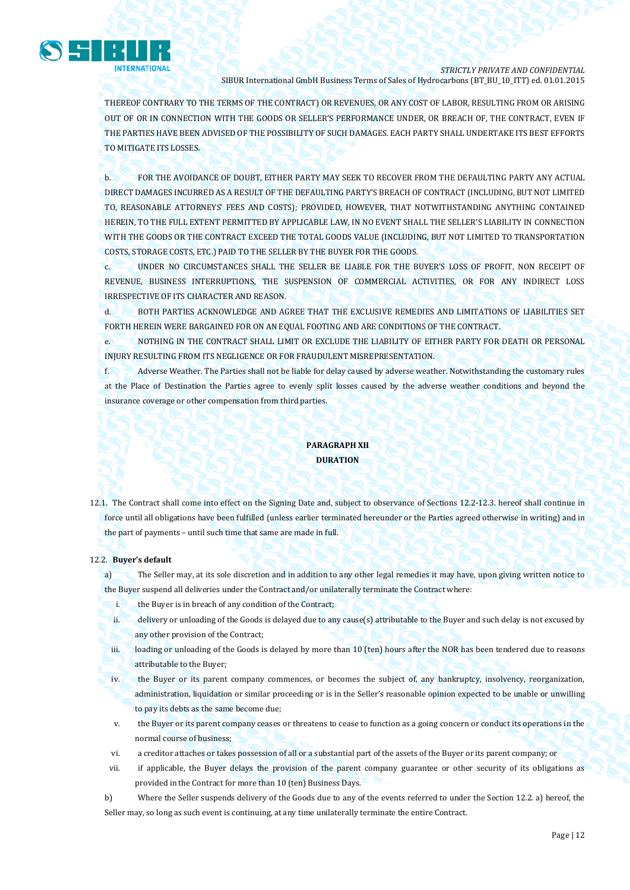

THEREOF CONTRARY TO THE TERMS OF THE CONTRACT) OR REVENUES, OR ANY COST OF LABOR, RESULTING FROM OR ARISING OUT OF OR IN CONNECTION WITH THE GOODS OR SELLER'S PERFORMANCE UNDER, OR BREACH OF, THE CONTRACT, EVEN IF THE PARTIES HAVE BEEN ADVISED OF THE POSSIBILITY OF SUCH DAMAGES. EACH PARTY SHALL UNDERTAKE ITS BEST EFFORTS TO MITIGATE ITS LOSSES.

b. FOR THE AVOIDANCE OF DOUBT, EITHER PARTY MAY SEEK TO RECOVER FROM THE DEFAULTING PARTY ANY ACTUAL DIRECT DAMAGES INCURRED AS A RESULT OF THE DEFAULTING PARTY'S BREACH OF CONTRACT (INCLUDING, BUT NOT LIMITED TO, REASONABLE ATTORNEYS' FEES AND COSTS); PROVIDED, HOWEVER, THAT NOTWITHSTANDING ANYTHING CONTAINED HEREIN, TO THE FULL EXTENT PERMITTED BY APPLICABLE LAW, IN NO EVENT SHALL THE SELLER'S LIABILITY IN CONNECTION WITH THE GOODS OR THE CONTRACT EXCEED THE TOTAL GOODS VALUE (INCLUDING, BUT NOT LIMITED TO TRANSPORTATION COSTS, STORAGE COSTS, ETC.) PAID TO THE SELLER BY THE BUYER FOR THE GOODS.

c. UNDER NO CIRCUMSTANCES SHALL THE SELLER BE LIABLE FOR THE BUYER'S LOSS OF PROFIT, NON RECEIPT OF REVENUE, BUSINESS INTERRUPTIONS, THE SUSPENSION OF COMMERCIAL ACTIVITIES, OR FOR ANY INDIRECT LOSS IRRESPECTIVE OF ITS CHARACTER AND REASON.

d. BOTH PARTIES ACKNOWLEDGE AND AGREE THAT THE EXCLUSIVE REMEDIES AND LIMITATIONS OF LIABILITIES SET FORTH HEREIN WERE BARGAINED FOR ON AN EQUAL FOOTING AND ARE CONDITIONS OF THE CONTRACT.

e. NOTHING IN THE CONTRACT SHALL LIMIT OR EXCLUDE THE LIABILITY OF EITHER PARTY FOR DEATH OR PERSONAL INJURY RESULTING FROM ITS NEGLIGENCE OR FOR FRAUDULENT MISREPRESENTATION.

f. Adverse Weather. The Parties shall not be liable for delay caused by adverse weather. Notwithstanding the customary rules at the Place of Destination the Parties agree to evenly split losses caused by the adverse weather conditions and beyond the insurance coverage or other compensation from third parties.

# **PARAGRAPH XII DURATION**

12.1. The Contract shall come into effect on the Signing Date and, subject to observance of Sections 12.2-12.3. hereof shall continue in force until all obligations have been fulfilled (unless earlier terminated hereunder or the Parties agreed otherwise in writing) and in the part of payments – until such time that same are made in full.

### 12.2. **Buyer's default**

a) The Seller may, at its sole discretion and in addition to any other legal remedies it may have, upon giving written notice to the Buyer suspend all deliveries under the Contract and/or unilaterally terminate the Contract where:

- i. the Buyer is in breach of any condition of the Contract;
- ii. delivery or unloading of the Goods is delayed due to any cause(s) attributable to the Buyer and such delay is not excused by any other provision of the Contract;
- iii. loading or unloading of the Goods is delayed by more than 10 (ten) hours after the NOR has been tendered due to reasons attributable to the Buyer;
- iv. the Buyer or its parent company commences, or becomes the subject of, any bankruptcy, insolvency, reorganization, administration, liquidation or similar proceeding or is in the Seller's reasonable opinion expected to be unable or unwilling to pay its debts as the same become due;
- v. the Buyer or its parent company ceases or threatens to cease to function as a going concern or conduct its operations in the normal course of business;
- vi. a creditor attaches or takes possession of all or a substantial part of the assets of the Buyer or its parent company; or
- vii. if applicable, the Buyer delays the provision of the parent company guarantee or other security of its obligations as provided in the Contract for more than 10 (ten) Business Days.
- b) Where the Seller suspends delivery of the Goods due to any of the events referred to under the Section 12.2. a) hereof, the Seller may, so long as such event is continuing, at any time unilaterally terminate the entire Contract.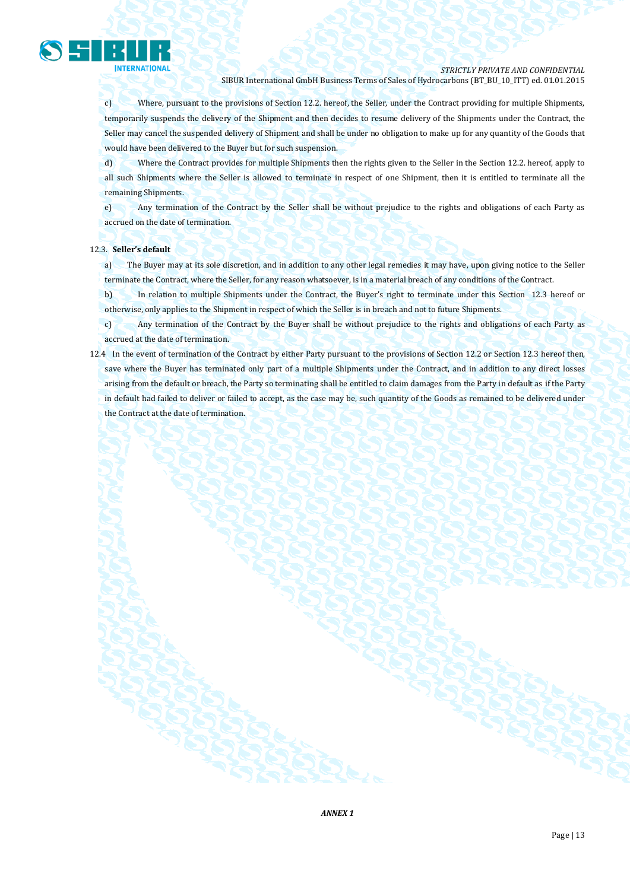

c) Where, pursuant to the provisions of Section 12.2. hereof, the Seller, under the Contract providing for multiple Shipments, temporarily suspends the delivery of the Shipment and then decides to resume delivery of the Shipments under the Contract, the Seller may cancel the suspended delivery of Shipment and shall be under no obligation to make up for any quantity of the Goods that would have been delivered to the Buyer but for such suspension.

d) Where the Contract provides for multiple Shipments then the rights given to the Seller in the Section 12.2. hereof, apply to all such Shipments where the Seller is allowed to terminate in respect of one Shipment, then it is entitled to terminate all the remaining Shipments.

e) Any termination of the Contract by the Seller shall be without prejudice to the rights and obligations of each Party as accrued on the date of termination.

## 12.3. **Seller's default**

a) The Buyer may at its sole discretion, and in addition to any other legal remedies it may have, upon giving notice to the Seller terminate the Contract, where the Seller, for any reason whatsoever, is in a material breach of any conditions of the Contract.

b) In relation to multiple Shipments under the Contract, the Buyer's right to terminate under this Section 12.3 hereof or otherwise, only applies to the Shipment in respect of which the Seller is in breach and not to future Shipments.

c) Any termination of the Contract by the Buyer shall be without prejudice to the rights and obligations of each Party as accrued at the date of termination.

12.4 In the event of termination of the Contract by either Party pursuant to the provisions of Section 12.2 or Section 12.3 hereof then, save where the Buyer has terminated only part of a multiple Shipments under the Contract, and in addition to any direct losses arising from the default or breach, the Party so terminating shall be entitled to claim damages from the Party in default as if the Party in default had failed to deliver or failed to accept, as the case may be, such quantity of the Goods as remained to be delivered under the Contract at the date of termination.

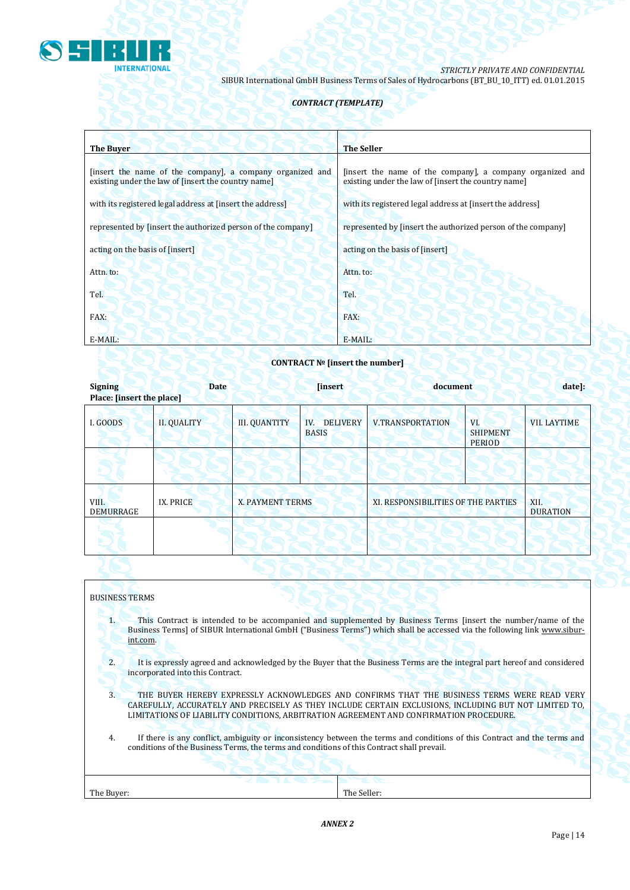

# *CONTRACT (TEMPLATE)*

| <b>The Buyer</b>                                                                                                 | <b>The Seller</b>                                                                                                |
|------------------------------------------------------------------------------------------------------------------|------------------------------------------------------------------------------------------------------------------|
|                                                                                                                  |                                                                                                                  |
| [insert the name of the company], a company organized and<br>existing under the law of finsert the country name] | [insert the name of the company], a company organized and<br>existing under the law of [insert the country name] |
| with its registered legal address at [insert the address]                                                        | with its registered legal address at [insert the address]                                                        |
| represented by [insert the authorized person of the company]                                                     | represented by [insert the authorized person of the company]                                                     |
| acting on the basis of [insert]                                                                                  | acting on the basis of [insert]                                                                                  |
| Attn. to:                                                                                                        | Attn. to:                                                                                                        |
| Tel.                                                                                                             | Tel.                                                                                                             |
| FAX:                                                                                                             | FAX:                                                                                                             |
| E-MAIL:                                                                                                          | E-MAIL:                                                                                                          |

### **CONTRACT № [insert the number]**

| <b>Signing</b><br>Place: [insert the place] | <b>Date</b>        |                      | <b>[insert]</b>                        | document                            |                                         | date]:                  |
|---------------------------------------------|--------------------|----------------------|----------------------------------------|-------------------------------------|-----------------------------------------|-------------------------|
| I. GOODS                                    | <b>II. QUALITY</b> | <b>III. QUANTITY</b> | <b>DELIVERY</b><br>IV.<br><b>BASIS</b> | <b>V.TRANSPORTATION</b>             | VI.<br><b>SHIPMENT</b><br><b>PERIOD</b> | <b>VII. LAYTIME</b>     |
|                                             |                    |                      |                                        |                                     |                                         |                         |
| VIII.<br><b>DEMURRAGE</b>                   | IX. PRICE          | X. PAYMENT TERMS     |                                        | XI. RESPONSIBILITIES OF THE PARTIES |                                         | XII.<br><b>DURATION</b> |
|                                             |                    |                      |                                        |                                     |                                         |                         |

# BUSINESS TERMS

1. This Contract is intended to be accompanied and supplemented by Business Terms [insert the number/name of the Business Terms] of SIBUR International GmbH ("Business Terms") which shall be accessed via the following link [www.sibur](http://www.sibur-int.com/)[int.com.](http://www.sibur-int.com/)

2. It is expressly agreed and acknowledged by the Buyer that the Business Terms are the integral part hereof and considered incorporated into this Contract.

3. THE BUYER HEREBY EXPRESSLY ACKNOWLEDGES AND CONFIRMS THAT THE BUSINESS TERMS WERE READ VERY CAREFULLY, ACCURATELY AND PRECISELY AS THEY INCLUDE CERTAIN EXCLUSIONS, INCLUDING BUT NOT LIMITED TO, LIMITATIONS OF LIABILITY CONDITIONS, ARBITRATION AGREEMENT AND CONFIRMATION PROCEDURE.

4. If there is any conflict, ambiguity or inconsistency between the terms and conditions of this Contract and the terms and conditions of the Business Terms, the terms and conditions of this Contract shall prevail.

|            | an sa<br><u> The Common Section (In the Common Section )</u> | <b>SECTION</b> |  |
|------------|--------------------------------------------------------------|----------------|--|
| The Buyer: |                                                              | The Seller:    |  |
|            |                                                              |                |  |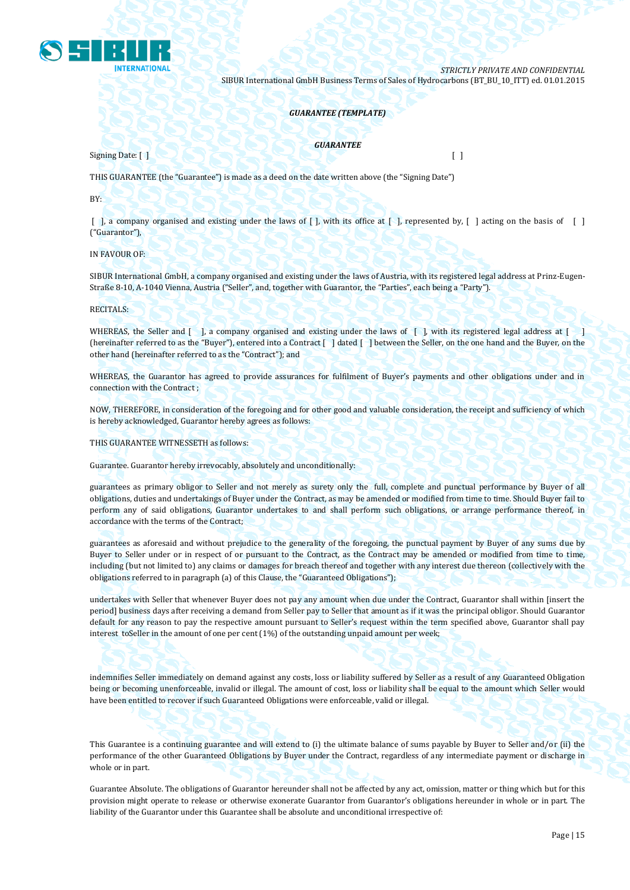

#### *GUARANTEE (TEMPLATE)*

Signing Date: [ ] [ ]

*GUARANTEE*

THIS GUARANTEE (the "Guarantee") is made as a deed on the date written above (the "Signing Date")

BY:

 $\lceil$ , a company organised and existing under the laws of  $\lceil$ , with its office at  $\lceil$ , represented by,  $\lceil$ , acting on the basis of  $\lceil$ ("Guarantor"),

IN FAVOUR OF:

SIBUR International GmbH, a company organised and existing under the laws of Austria, with its registered legal address at Prinz-Eugen-Straße 8-10, A-1040 Vienna, Austria ("Seller", and, together with Guarantor, the "Parties", each being a "Party").

RECITALS:

WHEREAS, the Seller and  $\lceil \cdot \rceil$ , a company organised and existing under the laws of  $\lceil \cdot \rceil$ , with its registered legal address at  $\lceil \cdot \rceil$ (hereinafter referred to as the "Buyer"), entered into a Contract [ ] dated [ ] between the Seller, on the one hand and the Buyer, on the other hand (hereinafter referred to as the "Contract"); and

WHEREAS, the Guarantor has agreed to provide assurances for fulfilment of Buyer's payments and other obligations under and in connection with the Contract ;

NOW, THEREFORE, in consideration of the foregoing and for other good and valuable consideration, the receipt and sufficiency of which is hereby acknowledged, Guarantor hereby agrees as follows:

THIS GUARANTEE WITNESSETH as follows:

Guarantee. Guarantor hereby irrevocably, absolutely and unconditionally:

guarantees as primary obligor to Seller and not merely as surety only the full, complete and punctual performance by Buyer of all obligations, duties and undertakings of Buyer under the Contract, as may be amended or modified from time to time. Should Buyer fail to perform any of said obligations, Guarantor undertakes to and shall perform such obligations, or arrange performance thereof, in accordance with the terms of the Contract;

guarantees as aforesaid and without prejudice to the generality of the foregoing, the punctual payment by Buyer of any sums due by Buyer to Seller under or in respect of or pursuant to the Contract, as the Contract may be amended or modified from time to time, including (but not limited to) any claims or damages for breach thereof and together with any interest due thereon (collectively with the obligations referred to in paragraph (a) of this Clause, the "Guaranteed Obligations");

undertakes with Seller that whenever Buyer does not pay any amount when due under the Contract, Guarantor shall within [insert the period] business days after receiving a demand from Seller pay to Seller that amount as if it was the principal obligor. Should Guarantor default for any reason to pay the respective amount pursuant to Seller's request within the term specified above, Guarantor shall pay interest toSeller in the amount of one per cent (1%) of the outstanding unpaid amount per week;

indemnifies Seller immediately on demand against any costs, loss or liability suffered by Seller as a result of any Guaranteed Obligation being or becoming unenforceable, invalid or illegal. The amount of cost, loss or liability shall be equal to the amount which Seller would have been entitled to recover if such Guaranteed Obligations were enforceable, valid or illegal.

This Guarantee is a continuing guarantee and will extend to (i) the ultimate balance of sums payable by Buyer to Seller and/or (ii) the performance of the other Guaranteed Obligations by Buyer under the Contract, regardless of any intermediate payment or discharge in whole or in part.

Guarantee Absolute. The obligations of Guarantor hereunder shall not be affected by any act, omission, matter or thing which but for this provision might operate to release or otherwise exonerate Guarantor from Guarantor's obligations hereunder in whole or in part. The liability of the Guarantor under this Guarantee shall be absolute and unconditional irrespective of: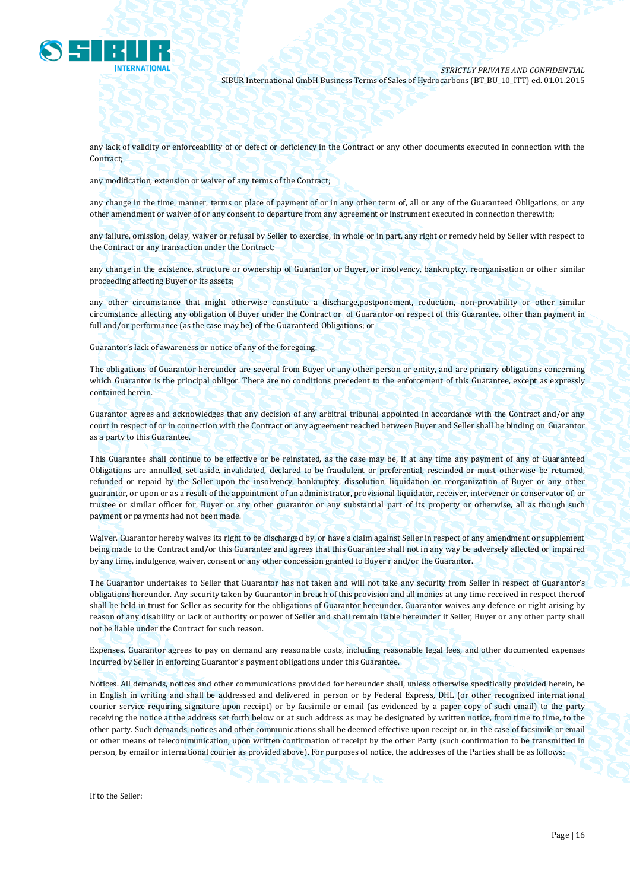

any lack of validity or enforceability of or defect or deficiency in the Contract or any other documents executed in connection with the Contract;

any modification, extension or waiver of any terms of the Contract;

any change in the time, manner, terms or place of payment of or in any other term of, all or any of the Guaranteed Obligations, or any other amendment or waiver of or any consent to departure from any agreement or instrument executed in connection therewith;

any failure, omission, delay, waiver or refusal by Seller to exercise, in whole or in part, any right or remedy held by Seller with respect to the Contract or any transaction under the Contract;

any change in the existence, structure or ownership of Guarantor or Buyer, or insolvency, bankruptcy, reorganisation or other similar proceeding affecting Buyer or its assets;

any other circumstance that might otherwise constitute a discharge,postponement, reduction, non-provability or other similar circumstance affecting any obligation of Buyer under the Contract or of Guarantor on respect of this Guarantee, other than payment in full and/or performance (as the case may be) of the Guaranteed Obligations; or

Guarantor's lack of awareness or notice of any of the foregoing.

The obligations of Guarantor hereunder are several from Buyer or any other person or entity, and are primary obligations concerning which Guarantor is the principal obligor. There are no conditions precedent to the enforcement of this Guarantee, except as expressly contained herein.

Guarantor agrees and acknowledges that any decision of any arbitral tribunal appointed in accordance with the Contract and/or any court in respect of or in connection with the Contract or any agreement reached between Buyer and Seller shall be binding on Guarantor as a party to this Guarantee.

This Guarantee shall continue to be effective or be reinstated, as the case may be, if at any time any payment of any of Guaranteed Obligations are annulled, set aside, invalidated, declared to be fraudulent or preferential, rescinded or must otherwise be returned, refunded or repaid by the Seller upon the insolvency, bankruptcy, dissolution, liquidation or reorganization of Buyer or any other guarantor, or upon or as a result of the appointment of an administrator, provisional liquidator, receiver, intervener or conservator of, or trustee or similar officer for, Buyer or any other guarantor or any substantial part of its property or otherwise, all as though such payment or payments had not been made.

Waiver. Guarantor hereby waives its right to be discharged by, or have a claim against Seller in respect of any amendment or supplement being made to the Contract and/or this Guarantee and agrees that this Guarantee shall not in any way be adversely affected or impaired by any time, indulgence, waiver, consent or any other concession granted to Buyer r and/or the Guarantor.

The Guarantor undertakes to Seller that Guarantor has not taken and will not take any security from Seller in respect of Guarantor's obligations hereunder. Any security taken by Guarantor in breach of this provision and all monies at any time received in respect thereof shall be held in trust for Seller as security for the obligations of Guarantor hereunder. Guarantor waives any defence or right arising by reason of any disability or lack of authority or power of Seller and shall remain liable hereunder if Seller, Buyer or any other party shall not be liable under the Contract for such reason.

Expenses. Guarantor agrees to pay on demand any reasonable costs, including reasonable legal fees, and other documented expenses incurred by Seller in enforcing Guarantor's payment obligations under this Guarantee.

Notices. All demands, notices and other communications provided for hereunder shall, unless otherwise specifically provided herein, be in English in writing and shall be addressed and delivered in person or by Federal Express, DHL (or other recognized international courier service requiring signature upon receipt) or by facsimile or email (as evidenced by a paper copy of such email) to the party receiving the notice at the address set forth below or at such address as may be designated by written notice, from time to time, to the other party. Such demands, notices and other communications shall be deemed effective upon receipt or, in the case of facsimile or email or other means of telecommunication, upon written confirmation of receipt by the other Party (such confirmation to be transmitted in person, by email or international courier as provided above). For purposes of notice, the addresses of the Parties shall be as follows:

If to the Seller: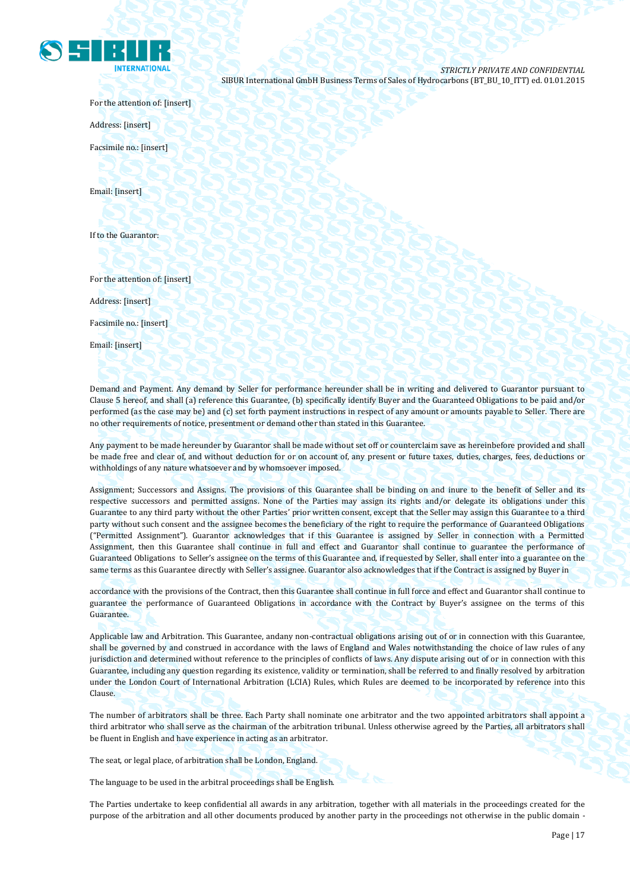

For the attention of: [insert]

Address: [insert]

Facsimile no.: [insert]

Email: [insert]

If to the Guarantor:

For the attention of: [insert]

Address: [insert]

Facsimile no.: [insert]

Email: [insert]

Demand and Payment. Any demand by Seller for performance hereunder shall be in writing and delivered to Guarantor pursuant to Clause 5 hereof, and shall (a) reference this Guarantee, (b) specifically identify Buyer and the Guaranteed Obligations to be paid and/or performed (as the case may be) and (c) set forth payment instructions in respect of any amount or amounts payable to Seller. There are no other requirements of notice, presentment or demand other than stated in this Guarantee.

Any payment to be made hereunder by Guarantor shall be made without set off or counterclaim save as hereinbefore provided and shall be made free and clear of, and without deduction for or on account of, any present or future taxes, duties, charges, fees, deductions or withholdings of any nature whatsoever and by whomsoever imposed.

Assignment; Successors and Assigns. The provisions of this Guarantee shall be binding on and inure to the benefit of Seller and its respective successors and permitted assigns. None of the Parties may assign its rights and/or delegate its obligations under this Guarantee to any third party without the other Parties' prior written consent, except that the Seller may assign this Guarantee to a third party without such consent and the assignee becomes the beneficiary of the right to require the performance of Guaranteed Obligations ("Permitted Assignment"). Guarantor acknowledges that if this Guarantee is assigned by Seller in connection with a Permitted Assignment, then this Guarantee shall continue in full and effect and Guarantor shall continue to guarantee the performance of Guaranteed Obligations to Seller's assignee on the terms of this Guarantee and, if requested by Seller, shall enter into a guarantee on the same terms as this Guarantee directly with Seller's assignee. Guarantor also acknowledges that if the Contract is assigned by Buyer in

accordance with the provisions of the Contract, then this Guarantee shall continue in full force and effect and Guarantor shall continue to guarantee the performance of Guaranteed Obligations in accordance with the Contract by Buyer's assignee on the terms of this Guarantee.

Applicable law and Arbitration. This Guarantee, andany non-contractual obligations arising out of or in connection with this Guarantee, shall be governed by and construed in accordance with the laws of England and Wales notwithstanding the choice of law rules of any jurisdiction and determined without reference to the principles of conflicts of laws. Any dispute arising out of or in connection with this Guarantee, including any question regarding its existence, validity or termination, shall be referred to and finally resolved by arbitration under the London Court of International Arbitration (LCIA) Rules, which Rules are deemed to be incorporated by reference into this Clause.

The number of arbitrators shall be three. Each Party shall nominate one arbitrator and the two appointed arbitrators shall appoint a third arbitrator who shall serve as the chairman of the arbitration tribunal. Unless otherwise agreed by the Parties, all arbitrators shall be fluent in English and have experience in acting as an arbitrator.

The seat, or legal place, of arbitration shall be London, England.

The language to be used in the arbitral proceedings shall be English.

The Parties undertake to keep confidential all awards in any arbitration, together with all materials in the proceedings created for the purpose of the arbitration and all other documents produced by another party in the proceedings not otherwise in the public domain -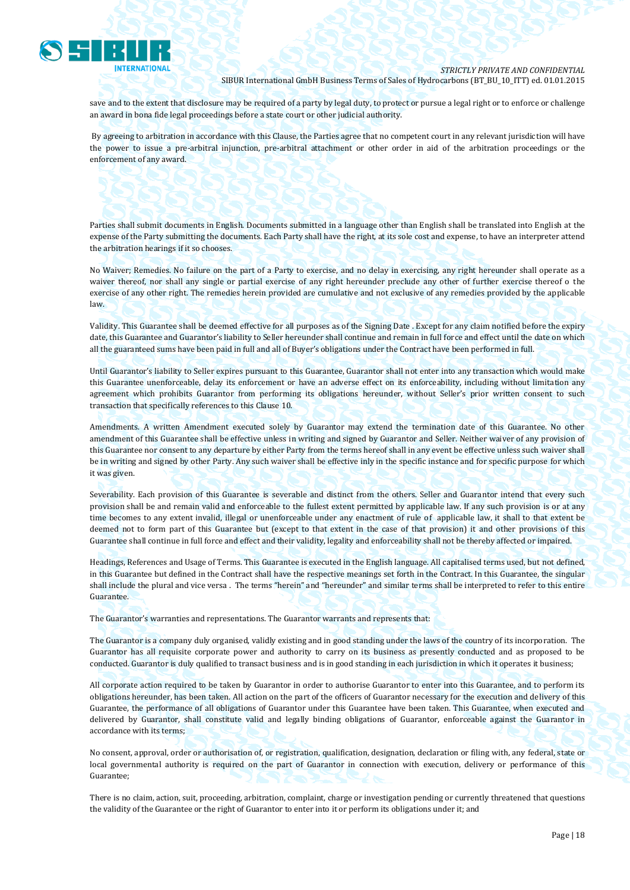

save and to the extent that disclosure may be required of a party by legal duty, to protect or pursue a legal right or to enforce or challenge an award in bona fide legal proceedings before a state court or other judicial authority.

By agreeing to arbitration in accordance with this Clause, the Parties agree that no competent court in any relevant jurisdiction will have the power to issue a pre-arbitral injunction, pre-arbitral attachment or other order in aid of the arbitration proceedings or the enforcement of any award.

Parties shall submit documents in English. Documents submitted in a language other than English shall be translated into English at the expense of the Party submitting the documents. Each Party shall have the right, at its sole cost and expense, to have an interpreter attend the arbitration hearings if it so chooses.

No Waiver; Remedies. No failure on the part of a Party to exercise, and no delay in exercising, any right hereunder shall operate as a waiver thereof, nor shall any single or partial exercise of any right hereunder preclude any other of further exercise thereof o the exercise of any other right. The remedies herein provided are cumulative and not exclusive of any remedies provided by the applicable law.

Validity. This Guarantee shall be deemed effective for all purposes as of the Signing Date . Except for any claim notified before the expiry date, this Guarantee and Guarantor's liability to Seller hereunder shall continue and remain in full force and effect until the date on which all the guaranteed sums have been paid in full and all of Buyer's obligations under the Contract have been performed in full.

Until Guarantor's liability to Seller expires pursuant to this Guarantee, Guarantor shall not enter into any transaction which would make this Guarantee unenforceable, delay its enforcement or have an adverse effect on its enforceability, including without limitation any agreement which prohibits Guarantor from performing its obligations hereunder, without Seller's prior written consent to such transaction that specifically references to this Clause 10.

Amendments. A written Amendment executed solely by Guarantor may extend the termination date of this Guarantee. No other amendment of this Guarantee shall be effective unless in writing and signed by Guarantor and Seller. Neither waiver of any provision of this Guarantee nor consent to any departure by either Party from the terms hereof shall in any event be effective unless such waiver shall be in writing and signed by other Party. Any such waiver shall be effective inly in the specific instance and for specific purpose for which it was given.

Severability. Each provision of this Guarantee is severable and distinct from the others. Seller and Guarantor intend that every such provision shall be and remain valid and enforceable to the fullest extent permitted by applicable law. If any such provision is or at any time becomes to any extent invalid, illegal or unenforceable under any enactment of rule of applicable law, it shall to that extent be deemed not to form part of this Guarantee but (except to that extent in the case of that provision) it and other provisions of this Guarantee shall continue in full force and effect and their validity, legality and enforceability shall not be thereby affected or impaired.

Headings, References and Usage of Terms. This Guarantee is executed in the English language. All capitalised terms used, but not defined, in this Guarantee but defined in the Contract shall have the respective meanings set forth in the Contract. In this Guarantee, the singular shall include the plural and vice versa . The terms "herein" and "hereunder" and similar terms shall be interpreted to refer to this entire Guarantee.

The Guarantor's warranties and representations. The Guarantor warrants and represents that:

The Guarantor is a company duly organised, validly existing and in good standing under the laws of the country of its incorporation. The Guarantor has all requisite corporate power and authority to carry on its business as presently conducted and as proposed to be conducted. Guarantor is duly qualified to transact business and is in good standing in each jurisdiction in which it operates it business;

All corporate action required to be taken by Guarantor in order to authorise Guarantor to enter into this Guarantee, and to perform its obligations hereunder, has been taken. All action on the part of the officers of Guarantor necessary for the execution and delivery of this Guarantee, the performance of all obligations of Guarantor under this Guarantee have been taken. This Guarantee, when executed and delivered by Guarantor, shall constitute valid and legally binding obligations of Guarantor, enforceable against the Guarantor in accordance with its terms;

No consent, approval, order or authorisation of, or registration, qualification, designation, declaration or filing with, any federal, state or local governmental authority is required on the part of Guarantor in connection with execution, delivery or performance of this Guarantee;

There is no claim, action, suit, proceeding, arbitration, complaint, charge or investigation pending or currently threatened that questions the validity of the Guarantee or the right of Guarantor to enter into it or perform its obligations under it; and